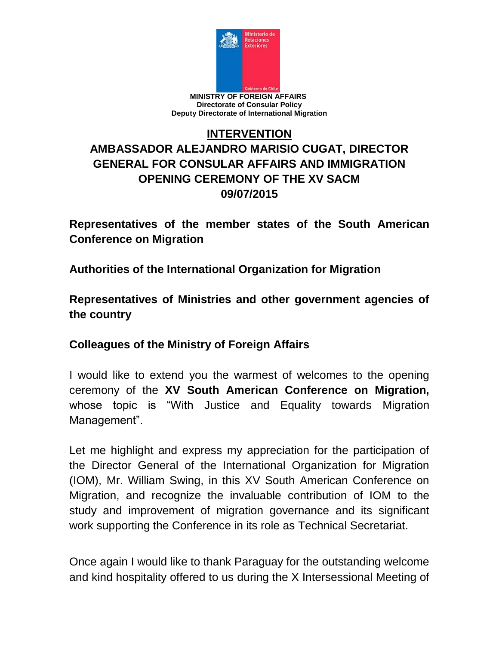

## **INTERVENTION AMBASSADOR ALEJANDRO MARISIO CUGAT, DIRECTOR GENERAL FOR CONSULAR AFFAIRS AND IMMIGRATION OPENING CEREMONY OF THE XV SACM 09/07/2015**

**Representatives of the member states of the South American Conference on Migration**

**Authorities of the International Organization for Migration** 

**Representatives of Ministries and other government agencies of the country**

**Colleagues of the Ministry of Foreign Affairs**

I would like to extend you the warmest of welcomes to the opening ceremony of the **XV South American Conference on Migration,**  whose topic is "With Justice and Equality towards Migration Management".

Let me highlight and express my appreciation for the participation of the Director General of the International Organization for Migration (IOM), Mr. William Swing, in this XV South American Conference on Migration, and recognize the invaluable contribution of IOM to the study and improvement of migration governance and its significant work supporting the Conference in its role as Technical Secretariat.

Once again I would like to thank Paraguay for the outstanding welcome and kind hospitality offered to us during the X Intersessional Meeting of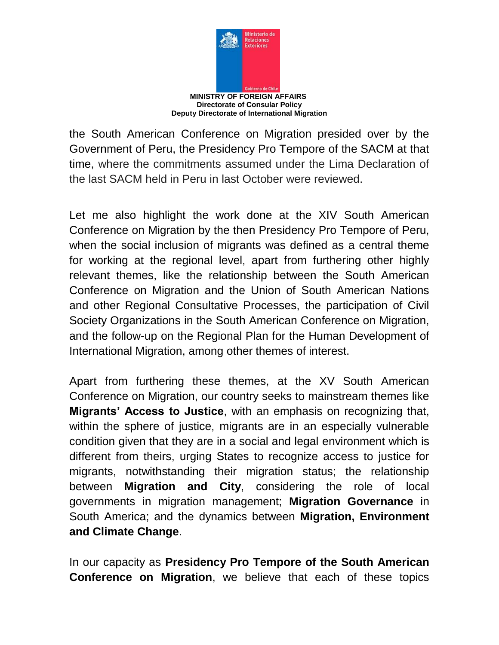

the South American Conference on Migration presided over by the Government of Peru, the Presidency Pro Tempore of the SACM at that time, where the commitments assumed under the Lima Declaration of the last SACM held in Peru in last October were reviewed.

Let me also highlight the work done at the XIV South American Conference on Migration by the then Presidency Pro Tempore of Peru, when the social inclusion of migrants was defined as a central theme for working at the regional level, apart from furthering other highly relevant themes, like the relationship between the South American Conference on Migration and the Union of South American Nations and other Regional Consultative Processes, the participation of Civil Society Organizations in the South American Conference on Migration, and the follow-up on the Regional Plan for the Human Development of International Migration, among other themes of interest.

Apart from furthering these themes, at the XV South American Conference on Migration, our country seeks to mainstream themes like **Migrants' Access to Justice**, with an emphasis on recognizing that, within the sphere of justice, migrants are in an especially vulnerable condition given that they are in a social and legal environment which is different from theirs, urging States to recognize access to justice for migrants, notwithstanding their migration status; the relationship between **Migration and City**, considering the role of local governments in migration management; **Migration Governance** in South America; and the dynamics between **Migration, Environment and Climate Change**.

In our capacity as **Presidency Pro Tempore of the South American Conference on Migration**, we believe that each of these topics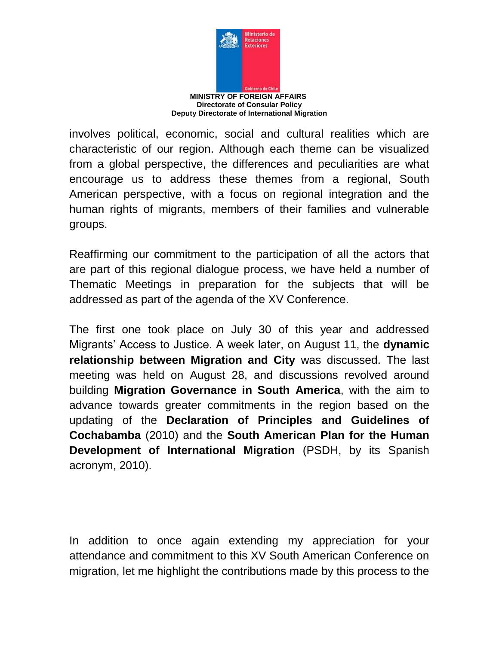

involves political, economic, social and cultural realities which are characteristic of our region. Although each theme can be visualized from a global perspective, the differences and peculiarities are what encourage us to address these themes from a regional, South American perspective, with a focus on regional integration and the human rights of migrants, members of their families and vulnerable groups.

Reaffirming our commitment to the participation of all the actors that are part of this regional dialogue process, we have held a number of Thematic Meetings in preparation for the subjects that will be addressed as part of the agenda of the XV Conference.

The first one took place on July 30 of this year and addressed Migrants' Access to Justice. A week later, on August 11, the **dynamic relationship between Migration and City** was discussed. The last meeting was held on August 28, and discussions revolved around building **Migration Governance in South America**, with the aim to advance towards greater commitments in the region based on the updating of the **Declaration of Principles and Guidelines of Cochabamba** (2010) and the **South American Plan for the Human Development of International Migration** (PSDH, by its Spanish acronym, 2010).

In addition to once again extending my appreciation for your attendance and commitment to this XV South American Conference on migration, let me highlight the contributions made by this process to the